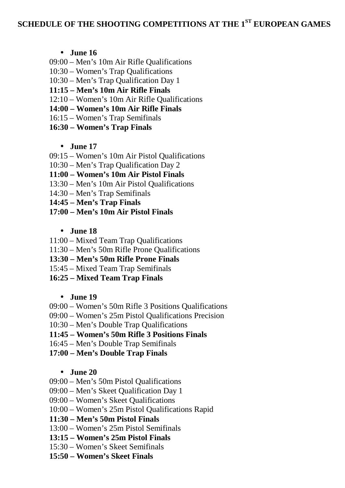# **SCHEDULE OF THE SHOOTING COMPETITIONS AT THE 1 ST EUROPEAN GAMES**

**June 16**

- 09:00 Men's 10m Air Rifle Qualifications
- 10:30 Women's Trap Qualifications
- 10:30 Men's Trap Qualification Day 1
- **11:15 – Men's 10m Air Rifle Finals**
- 12:10 Women's 10m Air Rifle Qualifications
- **14:00 – Women's 10m Air Rifle Finals**
- 16:15 Women's Trap Semifinals
- **16:30 – Women's Trap Finals**

### **June 17**

- 09:15 Women's 10m Air Pistol Qualifications
- 10:30 Men's Trap Qualification Day 2
- **11:00 – Women's 10m Air Pistol Finals**
- 13:30 Men's 10m Air Pistol Qualifications
- 14:30 Men's Trap Semifinals
- **14:45 – Men's Trap Finals**
- **17:00 – Men's 10m Air Pistol Finals**
	- **June 18**
- 11:00 Mixed Team Trap Qualifications
- 11:30 Men's 50m Rifle Prone Qualifications
- **13:30 – Men's 50m Rifle Prone Finals**
- 15:45 Mixed Team Trap Semifinals
- **16:25 – Mixed Team Trap Finals**

### **June 19**

- 09:00 Women's 50m Rifle 3 Positions Qualifications
- 09:00 Women's 25m Pistol Qualifications Precision
- 10:30 Men's Double Trap Qualifications
- **11:45 – Women's 50m Rifle 3 Positions Finals**
- 16:45 Men's Double Trap Semifinals
- **17:00 – Men's Double Trap Finals**

### **June 20**

- 09:00 Men's 50m Pistol Qualifications
- 09:00 Men's Skeet Qualification Day 1
- 09:00 Women's Skeet Qualifications
- 10:00 Women's 25m Pistol Qualifications Rapid
- **11:30 – Men's 50m Pistol Finals**
- 13:00 Women's 25m Pistol Semifinals
- **13:15 – Women's 25m Pistol Finals**
- 15:30 Women's Skeet Semifinals
- **15:50 – Women's Skeet Finals**